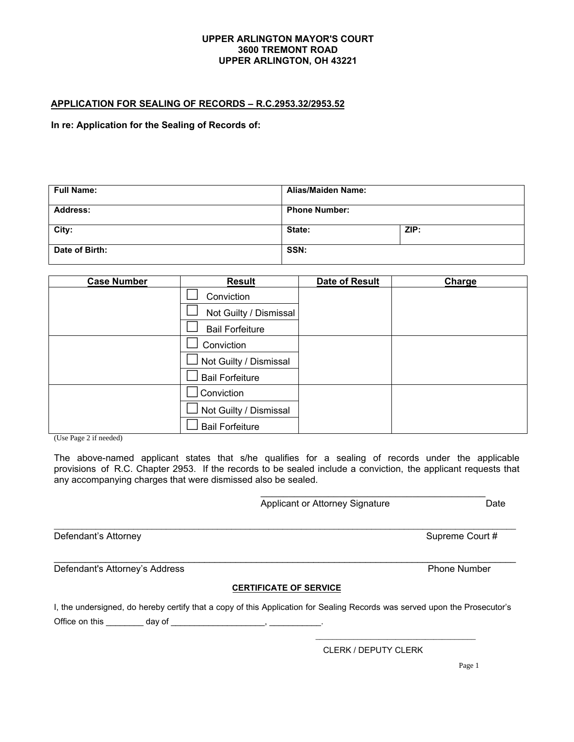## **UPPER ARLINGTON MAYOR'S COURT 3600 TREMONT ROAD UPPER ARLINGTON, OH 43221**

## **APPLICATION FOR SEALING OF RECORDS – R.C.2953.32/2953.52**

 **In re: Application for the Sealing of Records of:** 

| <b>Full Name:</b> | <b>Alias/Maiden Name:</b> |      |  |
|-------------------|---------------------------|------|--|
| <b>Address:</b>   | <b>Phone Number:</b>      |      |  |
| City:             | State:                    | ZIP: |  |
| Date of Birth:    | SSN:                      |      |  |

| <b>Case Number</b> | <b>Result</b>          | <b>Date of Result</b> | Charge |
|--------------------|------------------------|-----------------------|--------|
|                    | Conviction             |                       |        |
|                    | Not Guilty / Dismissal |                       |        |
|                    | <b>Bail Forfeiture</b> |                       |        |
|                    | Conviction             |                       |        |
|                    | Not Guilty / Dismissal |                       |        |
|                    | <b>Bail Forfeiture</b> |                       |        |
|                    | Conviction             |                       |        |
|                    | Not Guilty / Dismissal |                       |        |
|                    | <b>Bail Forfeiture</b> |                       |        |

(Use Page 2 if needed)

The above-named applicant states that s/he qualifies for a sealing of records under the applicable provisions of R.C. Chapter 2953. If the records to be sealed include a conviction, the applicant requests that any accompanying charges that were dismissed also be sealed.

\_\_\_\_\_\_\_\_\_\_\_\_\_\_\_\_\_\_\_\_\_\_\_\_\_\_\_\_\_\_\_\_\_\_\_\_\_\_\_\_\_\_\_\_\_\_\_\_\_\_\_\_\_\_\_\_\_\_\_\_\_\_\_\_\_\_\_\_\_\_\_\_\_\_\_\_\_\_\_\_\_\_\_\_\_\_\_\_\_\_\_\_\_\_\_\_\_\_\_

\_\_\_\_\_\_\_\_\_\_\_\_\_\_\_\_\_\_\_\_\_\_\_\_\_\_\_\_\_\_\_\_\_\_\_\_\_\_\_\_ Applicant or Attorney Signature **Date** 

Defendant's Attorney Supreme Court #

Defendant's Attorney's Address **Phone Number** 

## **CERTIFICATE OF SERVICE**

I, the undersigned, do hereby certify that a copy of this Application for Sealing Records was served upon the Prosecutor's Office on this \_\_\_\_\_\_\_\_\_\_\_\_ day of \_\_\_\_

CLERK / DEPUTY CLERK

\_\_\_\_\_\_\_\_\_\_\_\_\_\_\_\_\_\_\_\_\_\_\_\_\_\_\_\_\_\_\_\_\_\_\_\_\_\_

Page 1

\_\_\_\_\_\_\_\_\_\_\_\_\_\_\_\_\_\_\_\_\_\_\_\_\_\_\_\_\_\_\_\_\_\_\_\_\_\_\_\_\_\_\_\_\_\_\_\_\_\_\_\_\_\_\_\_\_\_\_\_\_\_\_\_\_\_\_\_\_\_\_\_\_\_\_\_\_\_\_\_\_\_\_\_\_\_\_\_\_